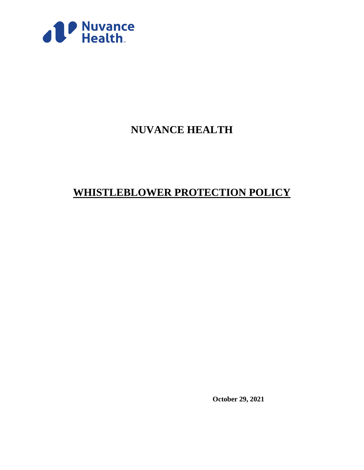

# **NUVANCE HEALTH**

# **WHISTLEBLOWER PROTECTION POLICY**

**October 29, 2021**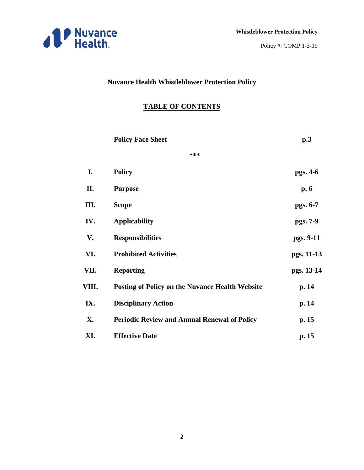

# **Nuvance Health Whistleblower Protection Policy**

# **TABLE OF CONTENTS**

|       | <b>Policy Face Sheet</b>                               | p.3        |
|-------|--------------------------------------------------------|------------|
|       | ***                                                    |            |
| I.    | <b>Policy</b>                                          | pgs. 4-6   |
| П.    | <b>Purpose</b>                                         | p.6        |
| III.  | <b>Scope</b>                                           | pgs. 6-7   |
| IV.   | <b>Applicability</b>                                   | pgs. 7-9   |
| V.    | <b>Responsibilities</b>                                | pgs. 9-11  |
| VI.   | <b>Prohibited Activities</b>                           | pgs. 11-13 |
| VII.  | <b>Reporting</b>                                       | pgs. 13-14 |
| VIII. | <b>Posting of Policy on the Nuvance Health Website</b> | p. 14      |
| IX.   | <b>Disciplinary Action</b>                             | p. 14      |
| X.    | <b>Periodic Review and Annual Renewal of Policy</b>    | p. 15      |
| XI.   | <b>Effective Date</b>                                  | p. 15      |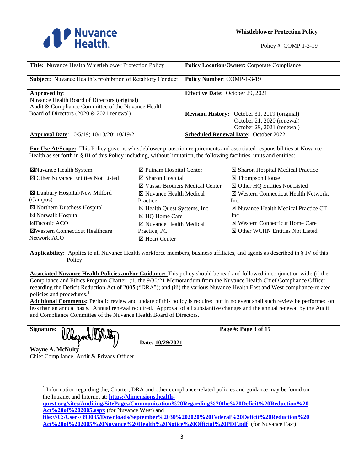

| <b>Title:</b> Nuvance Health Whistleblower Protection Policy                                                       | <b>Policy Location/Owner: Corporate Compliance</b>                                                               |
|--------------------------------------------------------------------------------------------------------------------|------------------------------------------------------------------------------------------------------------------|
| <b>Subject:</b> Nuvance Health's prohibition of Retalitory Conduct                                                 | <b>Policy Number: COMP-1-3-19</b>                                                                                |
| Approved by:<br>Nuvance Health Board of Directors (original)<br>Audit & Compliance Committee of the Nuvance Health | <b>Effective Date:</b> October 29, 2021                                                                          |
| Board of Directors (2020 & 2021 renewal)                                                                           | <b>Revision History:</b> October 31, 2019 (original)<br>October 21, 2020 (renewal)<br>October 29, 2021 (renewal) |
| Approval Date: 10/5/19; 10/13/20; 10/19/21                                                                         | <b>Scheduled Renewal Date: October 2022</b>                                                                      |

**For Use At/Scope:** This Policy governs whistleblower protection requirements and associated responsibilities at Nuvance Health as set forth in § III of this Policy including, without limitation, the following facilities, units and entities:

☒ Putnam Hospital Center

☒Nuvance Health System ☒ Other Nuvance Entities Not Listed

☒ Danbury Hospital/New Milford (Campus) ☒ Northern Dutchess Hospital

☒ Norwalk Hospital ☒Taconic ACO ☒Western Connecticut Healthcare Network ACO

- ☒ Sharon Hospital ☒ Vassar Brothers Medical Center ☒ Nuvance Health Medical Practice ☒ Health Quest Systems, Inc. ☒ HQ Home Care ☒ Nuvance Health Medical Practice, PC ☒ Heart Center
- ☒ Sharon Hospital Medical Practice ☒ Thompson House ☒ Other HQ Entities Not Listed ☒ Western Connecticut Health Network, Inc. ☒ Nuvance Health Medical Practice CT, Inc. ☒ Western Connecticut Home Care ☒ Other WCHN Entities Not Listed

**Applicability:** Applies to all Nuvance Health workforce members, business affiliates, and agents as described in § IV of this **Policy** 

**Associated Nuvance Health Policies and/or Guidance:** This policy should be read and followed in conjunction with: (i) the Compliance and Ethics Program Charter; (ii) the 9/30/21 Memorandum from the Nuvance Health Chief Compliance Officer regarding the Deficit Reduction Act of 2005 ("DRA"); and (iii) the various Nuvance Health East and West compliance-related policies and procedures.<sup>1</sup>

**Additional Comments:** Periodic review and update of this policy is required but in no event shall such review be performed on less than an annual basis. Annual renewal required. Approval of all substantive changes and the annual renewal by the Audit and Compliance Committee of the Nuvance Health Board of Directors.

| Signature: |            | W II Acon ag |  |
|------------|------------|--------------|--|
|            | . <i>.</i> |              |  |

**\_\_\_\_\_\_\_\_\_\_\_\_\_\_\_\_\_\_\_\_\_\_\_\_\_\_\_\_\_\_\_\_\_\_\_ Date: 10/29/2021**

**Page #: Page 3 of 15**

**Wayne A. McNulty** Chief Compliance, Audit & Privacy Officer

 $\overline{\phantom{a}}$ 

**quest.org/sites/Auditing/SitePages/Communication%20Regarding%20the%20Deficit%20Reduction%20 Act%20of%202005.aspx** (for Nuvance West) and

**file:///C:/Users/390035/Downloads/September%2030%202020%20Federal%20Deficit%20Reduction%20 Act%20of%202005%20Nuvance%20Health%20Notice%20Official%20PDF.pdf** (for Nuvance East).

<sup>&</sup>lt;sup>1</sup> Information regarding the, Charter, DRA and other compliance-related policies and guidance may be found on the Intranet and Internet at: **https://dimensions.health-**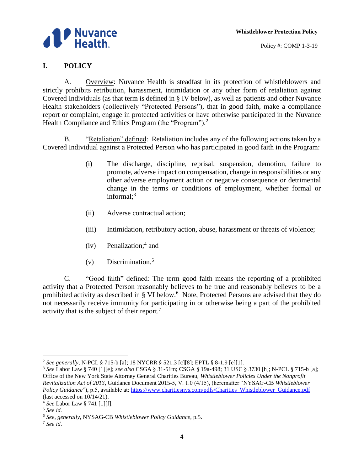

Policy #: COMP 1-3-19

### **I. POLICY**

A. Overview: Nuvance Health is steadfast in its protection of whistleblowers and strictly prohibits retribution, harassment, intimidation or any other form of retaliation against Covered Individuals (as that term is defined in § IV below), as well as patients and other Nuvance Health stakeholders (collectively "Protected Persons"), that in good faith, make a compliance report or complaint, engage in protected activities or have otherwise participated in the Nuvance Health Compliance and Ethics Program (the "Program").<sup>2</sup>

B. "Retaliation" defined: Retaliation includes any of the following actions taken by a Covered Individual against a Protected Person who has participated in good faith in the Program:

- (i) The discharge, discipline, reprisal, suspension, demotion, failure to promote, adverse impact on compensation, change in responsibilities or any other adverse employment action or negative consequence or detrimental change in the terms or conditions of employment, whether formal or informal; 3
- (ii) Adverse contractual action;
- (iii) Intimidation, retributory action, abuse, harassment or threats of violence;
- (iv) Penalization;<sup>4</sup> and
- $(v)$  Discrimination.<sup>5</sup>

C. "Good faith" defined: The term good faith means the reporting of a prohibited activity that a Protected Person reasonably believes to be true and reasonably believes to be a prohibited activity as described in § VI below.<sup>6</sup> Note, Protected Persons are advised that they do not necessarily receive immunity for participating in or otherwise being a part of the prohibited activity that is the subject of their report.<sup>7</sup>

 $\overline{\phantom{a}}$ 

<sup>2</sup> *See generally*, N-PCL § 715-b [a]; 18 NYCRR § 521.3 [c][8]; EPTL § 8-1.9 [e][1].

<sup>3</sup> *See* Labor Law § 740 [1][e]; *see also* CSGA § 31-51m; CSGA § 19a-498; 31 USC § 3730 [h]; N-PCL § 715-b [a]; Office of the New York State Attorney General Charities Bureau, *Whistleblower Policies Under the Nonprofit Revitalization Act of 2013*, Guidance Document 2015-5, V. 1.0 (4/15), (hereinafter "NYSAG-CB *Whistleblower Policy Guidance*"), p.5, available at: https://www.charitiesnys.com/pdfs/Charities\_Whistleblower\_Guidance.pdf (last accessed on 10/14/21).

<sup>4</sup> *See* Labor Law § 741 [1][f].

<sup>5</sup> *See id.*

<sup>6</sup> *See, generally*, NYSAG-CB *Whistleblower Policy Guidance*, p.5.

<sup>7</sup> *See id*.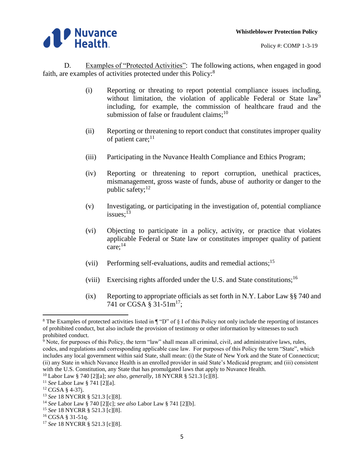

D. Examples of "Protected Activities": The following actions, when engaged in good faith, are examples of activities protected under this Policy:<sup>8</sup>

- (i) Reporting or threating to report potential compliance issues including, without limitation, the violation of applicable Federal or State law<sup>9</sup> including, for example, the commission of healthcare fraud and the submission of false or fraudulent claims; $^{10}$
- (ii) Reporting or threatening to report conduct that constitutes improper quality of patient care; $^{11}$
- (iii) Participating in the Nuvance Health Compliance and Ethics Program;
- (iv) Reporting or threatening to report corruption, unethical practices, mismanagement, gross waste of funds, abuse of authority or danger to the public safety; $^{12}$
- (v) Investigating, or participating in the investigation of, potential compliance issues; $^{13}$
- (vi) Objecting to participate in a policy, activity, or practice that violates applicable Federal or State law or constitutes improper quality of patient care: $14$
- (vii) Performing self-evaluations, audits and remedial actions; 15
- (viii) Exercising rights afforded under the U.S. and State constitutions;<sup>16</sup>
- (ix) Reporting to appropriate officials as set forth in N.Y. Labor Law  $\S$ § 740 and 741 or CGSA § 31-51m<sup>17</sup>;

 $\overline{\phantom{a}}$ 

<sup>&</sup>lt;sup>8</sup> The Examples of protected activities listed in  $\P$  "D" of  $\S$  I of this Policy not only include the reporting of instances of prohibited conduct, but also include the provision of testimony or other information by witnesses to such prohibited conduct.

 $9^9$  Note, for purposes of this Policy, the term "law" shall mean all criminal, civil, and administrative laws, rules, codes, and regulations and corresponding applicable case law. For purposes of this Policy the term "State", which includes any local government within said State, shall mean: (i) the State of New York and the State of Connecticut; (ii) any State in which Nuvance Health is an enrolled provider in said State's Medicaid program; and (iii) consistent with the U.S. Constitution, any State that has promulgated laws that apply to Nuvance Health.

<sup>10</sup> Labor Law § 740 [2][a]; *see also, generally*, 18 NYCRR § 521.3 [c][8].

<sup>11</sup> *See* Labor Law § 741 [2][a].

<sup>12</sup> CGSA § 4-37j.

<sup>13</sup> *See* 18 NYCRR § 521.3 [c][8].

<sup>14</sup> *See* Labor Law § 740 [2][c]; *see also* Labor Law § 741 [2][b].

<sup>15</sup> *See* 18 NYCRR § 521.3 [c][8].

<sup>16</sup> CGSA § 31-51q.

<sup>17</sup> *See* 18 NYCRR § 521.3 [c][8].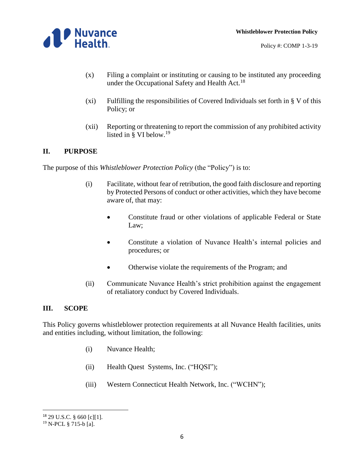

- (x) Filing a complaint or instituting or causing to be instituted any proceeding under the Occupational Safety and Health Act.<sup>18</sup>
- (xi) Fulfilling the responsibilities of Covered Individuals set forth in § V of this Policy; or
- (xii) Reporting or threatening to report the commission of any prohibited activity listed in § VI below. 19

#### **II. PURPOSE**

The purpose of this *Whistleblower Protection Policy* (the "Policy") is to:

- (i) Facilitate, without fear of retribution, the good faith disclosure and reporting by Protected Persons of conduct or other activities, which they have become aware of, that may:
	- Constitute fraud or other violations of applicable Federal or State Law;
	- Constitute a violation of Nuvance Health's internal policies and procedures; or
	- Otherwise violate the requirements of the Program; and
- (ii) Communicate Nuvance Health's strict prohibition against the engagement of retaliatory conduct by Covered Individuals.

#### **III. SCOPE**

This Policy governs whistleblower protection requirements at all Nuvance Health facilities, units and entities including, without limitation, the following:

- (i) Nuvance Health;
- (ii) Health Quest Systems, Inc. ("HQSI");
- (iii) Western Connecticut Health Network, Inc. ("WCHN");

l

<sup>18</sup> 29 U.S.C. § 660 [c][1].

<sup>19</sup> N-PCL § 715-b [a].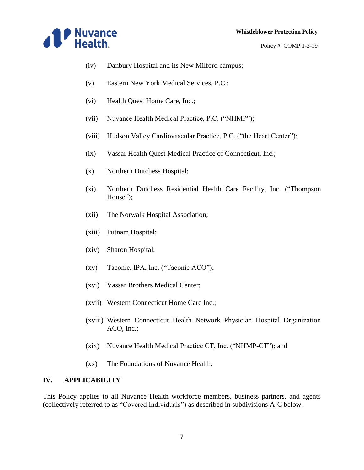

- Policy #: COMP 1-3-19
- (iv) Danbury Hospital and its New Milford campus;
- (v) Eastern New York Medical Services, P.C.;
- (vi) Health Quest Home Care, Inc.;
- (vii) Nuvance Health Medical Practice, P.C. ("NHMP");
- (viii) Hudson Valley Cardiovascular Practice, P.C. ("the Heart Center");
- (ix) Vassar Health Quest Medical Practice of Connecticut, Inc.;
- (x) Northern Dutchess Hospital;
- (xi) Northern Dutchess Residential Health Care Facility, Inc. ("Thompson House");
- (xii) The Norwalk Hospital Association;
- (xiii) Putnam Hospital;
- (xiv) Sharon Hospital;
- (xv) Taconic, IPA, Inc. ("Taconic ACO");
- (xvi) Vassar Brothers Medical Center;
- (xvii) Western Connecticut Home Care Inc.;
- (xviii) Western Connecticut Health Network Physician Hospital Organization ACO, Inc.;
- (xix) Nuvance Health Medical Practice CT, Inc. ("NHMP-CT"); and
- (xx) The Foundations of Nuvance Health.

#### **IV. APPLICABILITY**

This Policy applies to all Nuvance Health workforce members, business partners, and agents (collectively referred to as "Covered Individuals") as described in subdivisions A-C below.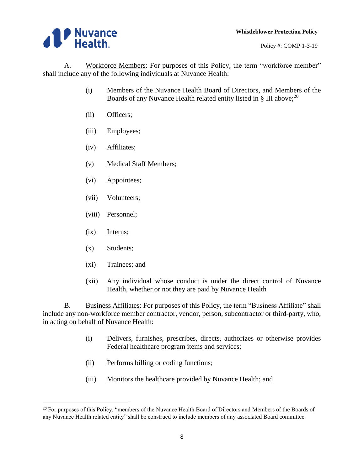

A. Workforce Members: For purposes of this Policy, the term "workforce member" shall include any of the following individuals at Nuvance Health:

- (i) Members of the Nuvance Health Board of Directors, and Members of the Boards of any Nuvance Health related entity listed in § III above;<sup>20</sup>
- (ii) Officers;
- (iii) Employees;
- (iv) Affiliates;
- (v) Medical Staff Members;
- (vi) Appointees;
- (vii) Volunteers;
- (viii) Personnel;
- (ix) Interns;
- (x) Students;

 $\overline{\phantom{a}}$ 

- (xi) Trainees; and
- (xii) Any individual whose conduct is under the direct control of Nuvance Health, whether or not they are paid by Nuvance Health

B. Business Affiliates: For purposes of this Policy, the term "Business Affiliate" shall include any non-workforce member contractor, vendor, person, subcontractor or third-party, who, in acting on behalf of Nuvance Health:

- (i) Delivers, furnishes, prescribes, directs, authorizes or otherwise provides Federal healthcare program items and services;
- (ii) Performs billing or coding functions;
- (iii) Monitors the healthcare provided by Nuvance Health; and

<sup>&</sup>lt;sup>20</sup> For purposes of this Policy, "members of the Nuvance Health Board of Directors and Members of the Boards of any Nuvance Health related entity" shall be construed to include members of any associated Board committee.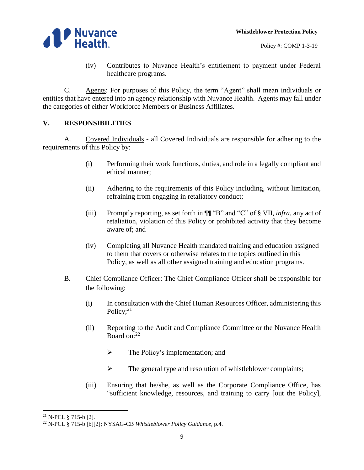

- Policy #: COMP 1-3-19
- (iv) Contributes to Nuvance Health's entitlement to payment under Federal healthcare programs.

C. Agents: For purposes of this Policy, the term "Agent" shall mean individuals or entities that have entered into an agency relationship with Nuvance Health. Agents may fall under the categories of either Workforce Members or Business Affiliates.

# **V. RESPONSIBILITIES**

A. Covered Individuals - all Covered Individuals are responsible for adhering to the requirements of this Policy by:

- (i) Performing their work functions, duties, and role in a legally compliant and ethical manner;
- (ii) Adhering to the requirements of this Policy including, without limitation, refraining from engaging in retaliatory conduct;
- (iii) Promptly reporting, as set forth in ¶¶ "B" and "C" of § VII, *infra*, any act of retaliation, violation of this Policy or prohibited activity that they become aware of; and
- (iv) Completing all Nuvance Health mandated training and education assigned to them that covers or otherwise relates to the topics outlined in this Policy, as well as all other assigned training and education programs.
- B. Chief Compliance Officer: The Chief Compliance Officer shall be responsible for the following:
	- (i) In consultation with the Chief Human Resources Officer, administering this Policy; $21$
	- (ii) Reporting to the Audit and Compliance Committee or the Nuvance Health Board on:<sup>22</sup>
		- $\triangleright$  The Policy's implementation; and
		- $\triangleright$  The general type and resolution of whistleblower complaints;
	- (iii) Ensuring that he/she, as well as the Corporate Compliance Office, has "sufficient knowledge, resources, and training to carry [out the Policy],

 $\overline{a}$ <sup>21</sup> N-PCL § 715-b [2].

<sup>22</sup> N-PCL § 715-b [b][2]; NYSAG-CB *Whistleblower Policy Guidance,* p.4.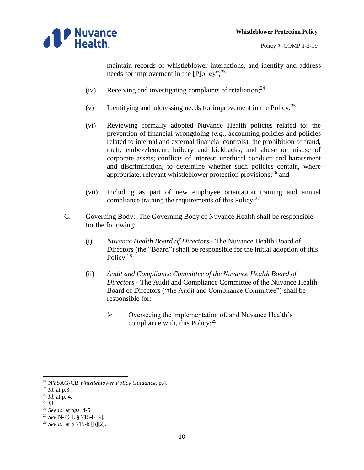

maintain records of whistleblower interactions, and identify and address needs for improvement in the [P]olicy";<sup>23</sup>

- (iv) Receiving and investigating complaints of retaliation;  $24$
- (v) Identifying and addressing needs for improvement in the Policy; $^{25}$
- (vi) Reviewing formally adopted Nuvance Health policies related to: the prevention of financial wrongdoing (*e.g*., accounting policies and policies related to internal and external financial controls); the prohibition of fraud, theft, embezzlement, bribery and kickbacks, and abuse or misuse of corporate assets; conflicts of interest; unethical conduct; and harassment and discrimination, to determine whether such policies contain, where appropriate, relevant whistleblower protection provisions;<sup>26</sup> and
- (vii) Including as part of new employee orientation training and annual compliance training the requirements of this Policy.<sup>27</sup>
- C. Governing Body: The Governing Body of Nuvance Health shall be responsible for the following:
	- (i) *Nuvance Health Board of Directors -* The Nuvance Health Board of Directors (the "Board") shall be responsible for the initial adoption of this Policy;<sup>28</sup>
	- (ii) *Audit and Compliance Committee of the Nuvance Health Board of Directors -* The Audit and Compliance Committee of the Nuvance Health Board of Directors ("the Audit and Compliance Committee") shall be responsible for:
		- $\triangleright$  Overseeing the implementation of, and Nuvance Health's compliance with, this Policy;<sup>29</sup>

- <sup>25</sup> *Id*. at p. 4.
- <sup>26</sup> *Id*.

 $\overline{\phantom{a}}$ 

<sup>23</sup> NYSAG-CB *Whistleblower Policy Guidance,* p.4.

<sup>24</sup> *Id*. at p.3.

<sup>27</sup> *See id.* at pgs. 4-5.

<sup>28</sup> *See* N-PCL § 715-b [a].

<sup>29</sup> *See id.* at § 715-b [b][2].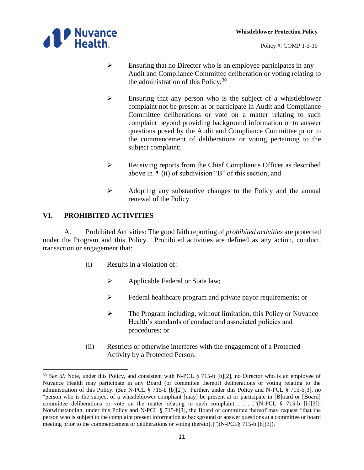



- $\triangleright$  Ensuring that no Director who is an employee participates in any Audit and Compliance Committee deliberation or voting relating to the administration of this Policy; $^{30}$
- $\triangleright$  Ensuring that any person who is the subject of a whistleblower complaint not be present at or participate in Audit and Compliance Committee deliberations or vote on a matter relating to such complaint beyond providing background information or to answer questions posed by the Audit and Compliance Committee prior to the commencement of deliberations or voting pertaining to the subject complaint;
- Receiving reports from the Chief Compliance Officer as described above in ¶ (ii) of subdivision "B" of this section; and
- $\triangleright$  Adopting any substantive changes to the Policy and the annual renewal of the Policy.

# **VI. PROHIBITED ACTIVITIES**

 $\overline{a}$ 

A. Prohibited Activities: The good faith reporting of *prohibited activities* are protected under the Program and this Policy. Prohibited activities are defined as any action, conduct, transaction or engagement that:

- (i) Results in a violation of:
	- $\triangleright$  Applicable Federal or State law;
	- Federal healthcare program and private payor requirements; or
	- $\triangleright$  The Program including, without limitation, this Policy or Nuvance Health's standards of conduct and associated policies and procedures; or
- (ii) Restricts or otherwise interferes with the engagement of a Protected Activity by a Protected Person.

<sup>&</sup>lt;sup>30</sup> See id. Note, under this Policy, and consistent with N-PCL § 715-b [b][2], no Director who is an employee of Nuvance Health may participate in any Board (or committee thereof) deliberations or voting relating to the administration of this Policy. (*See* N-PCL § 715-b [b][2]). Further, under this Policy and N-PCL § 715-b[3], no "person who is the subject of a whistleblower compliant  $[may]$  be present at or participate in [B]oard or [Board] committee deliberations or vote on the matter relating to such complaint . . . ."(N-PCL § 715-b [b][3]). Notwithstanding, under this Policy and N-PCL § 715-b[3], the Board or committee thereof may request "that the person who is subject to the complaint present information as background or answer questions at a committee or board meeting prior to the commencement or deliberations or voting thereto[.]")(N-PCL§ 715-b [b][3]).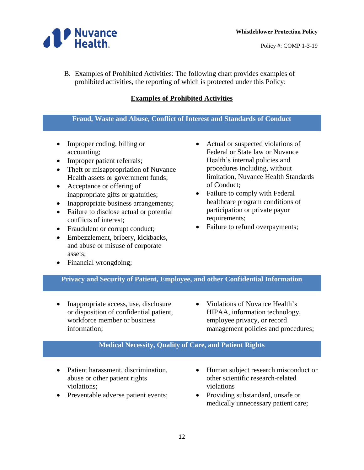

B. Examples of Prohibited Activities: The following chart provides examples of prohibited activities, the reporting of which is protected under this Policy:

### **Examples of Prohibited Activities**

#### **Fraud, Waste and Abuse, Conflict of Interest and Standards of Conduct**

- Improper coding, billing or accounting;
- Improper patient referrals;
- Theft or misappropriation of Nuvance Health assets or government funds;
- Acceptance or offering of inappropriate gifts or gratuities;
- Inappropriate business arrangements;
- Failure to disclose actual or potential conflicts of interest;
- Fraudulent or corrupt conduct;
- Embezzlement, bribery, kickbacks, and abuse or misuse of corporate assets;
- Financial wrongdoing;
- Actual or suspected violations of Federal or State law or Nuvance Health's internal policies and procedures including, without limitation, Nuvance Health Standards of Conduct;
- Failure to comply with Federal healthcare program conditions of participation or private payor requirements;
- Failure to refund overpayments;

#### **Privacy and Security of Patient, Employee, and other Confidential Information**

- Inappropriate access, use, disclosure or disposition of confidential patient, workforce member or business information;
- Violations of Nuvance Health's HIPAA, information technology, employee privacy, or record management policies and procedures;

#### **Medical Necessity, Quality of Care, and Patient Rights**

- Patient harassment, discrimination, abuse or other patient rights violations;
- Preventable adverse patient events;
- Human subject research misconduct or other scientific research-related violations
- Providing substandard, unsafe or medically unnecessary patient care;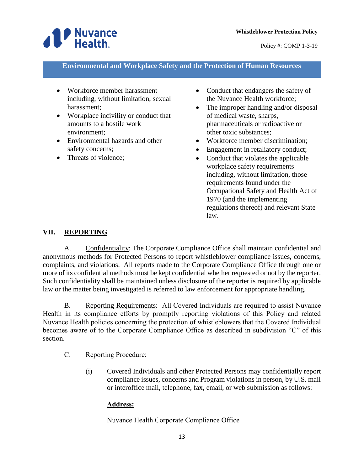

**Environmental and Workplace Safety and the Protection of Human Resources**

- Workforce member harassment including, without limitation, sexual harassment;
- Workplace incivility or conduct that amounts to a hostile work environment;
- Environmental hazards and other safety concerns;
- Threats of violence;
- Conduct that endangers the safety of the Nuvance Health workforce;
- The improper handling and/or disposal of medical waste, sharps, pharmaceuticals or radioactive or other toxic substances;
- Workforce member discrimination;
- Engagement in retaliatory conduct;
- Conduct that violates the applicable workplace safety requirements including, without limitation, those requirements found under the Occupational Safety and Health Act of 1970 (and the implementing regulations thereof) and relevant State law.

#### **VII. REPORTING**

A. Confidentiality: The Corporate Compliance Office shall maintain confidential and anonymous methods for Protected Persons to report whistleblower compliance issues, concerns, complaints, and violations. All reports made to the Corporate Compliance Office through one or more of its confidential methods must be kept confidential whether requested or not by the reporter. Such confidentiality shall be maintained unless disclosure of the reporter is required by applicable law or the matter being investigated is referred to law enforcement for appropriate handling.

B. Reporting Requirements: All Covered Individuals are required to assist Nuvance Health in its compliance efforts by promptly reporting violations of this Policy and related Nuvance Health policies concerning the protection of whistleblowers that the Covered Individual becomes aware of to the Corporate Compliance Office as described in subdivision "C" of this section.

- C. Reporting Procedure:
	- (i) Covered Individuals and other Protected Persons may confidentially report compliance issues, concerns and Program violations in person, by U.S. mail or interoffice mail, telephone, fax, email, or web submission as follows:

#### **Address:**

Nuvance Health Corporate Compliance Office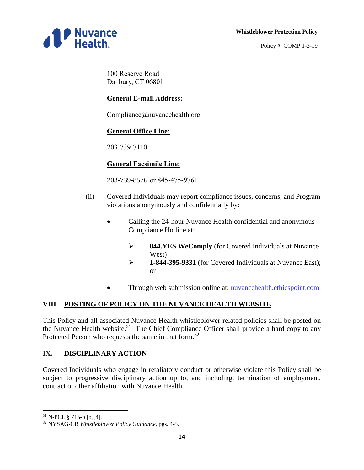#### **Whistleblower Protection Policy**



Policy #: COMP 1-3-19

100 Reserve Road Danbury, CT 06801

# **General E-mail Address:**

Compliance@nuvancehealth.org

# **General Office Line:**

203-739-7110

# **General Facsimile Line:**

203-739-8576 or 845-475-9761

- (ii) Covered Individuals may report compliance issues, concerns, and Program violations anonymously and confidentially by:
	- Calling the 24-hour Nuvance Health confidential and anonymous Compliance Hotline at:
		- **844.YES.WeComply** (for Covered Individuals at Nuvance West)
		- **1-844-395-9331** (for Covered Individuals at Nuvance East); or
	- Through web submission online at: nuvancehealth.ethicspoint.com

# **VIII. POSTING OF POLICY ON THE NUVANCE HEALTH WEBSITE**

This Policy and all associated Nuvance Health whistleblower-related policies shall be posted on the Nuvance Health website.<sup>31</sup> The Chief Compliance Officer shall provide a hard copy to any Protected Person who requests the same in that form.<sup>32</sup>

# **IX. DISCIPLINARY ACTION**

Covered Individuals who engage in retaliatory conduct or otherwise violate this Policy shall be subject to progressive disciplinary action up to, and including, termination of employment, contract or other affiliation with Nuvance Health.

 $\overline{a}$ 

 $31$  N-PCL § 715-b [b][4].

<sup>32</sup> NYSAG-CB *Whistleblower Policy Guidance*, pgs. 4-5.